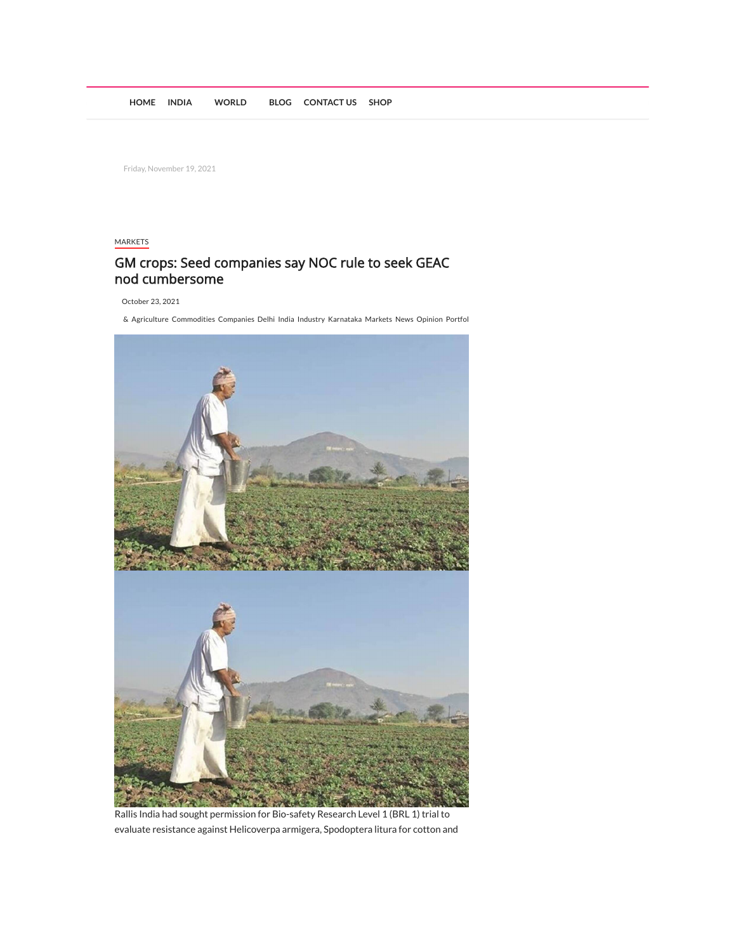Friday, November 19, 2021

## [MARKETS](https://newsbundleonline.com/category/indian-markets/)

## GM crops: Seed companies say NOC rule to seek GEAC nod cumbersome

[October](https://www.financialexpress.com/market/commodities/gm-crops-seed-companies-say-noc-rule-to-seek-geac-nod-cumbersome/2355114/) 23, 2021

[&](https://newsbundleonline.com/tag/1085/) [Agriculture](https://newsbundleonline.com/tag/agriculture/) [Commodities](https://newsbundleonline.com/tag/commodities/) [Companies](https://newsbundleonline.com/tag/companies/) [Delhi](https://newsbundleonline.com/tag/delhi/) [India](https://newsbundleonline.com/tag/india/) [Industry](https://newsbundleonline.com/tag/industry/) [Karnataka](https://newsbundleonline.com/tag/karnataka/) [Markets](https://newsbundleonline.com/tag/markets/) [News](https://newsbundleonline.com/tag/news/) [Opinion](https://newsbundleonline.com/tag/opinion/) [Portfol](https://newsbundleonline.com/tag/portfolio/)



Rallis India had sought permission for Bio-safety Research Level 1 (BRL 1) trial to evaluate resistance against Helicoverpa armigera, Spodoptera litura for cotton and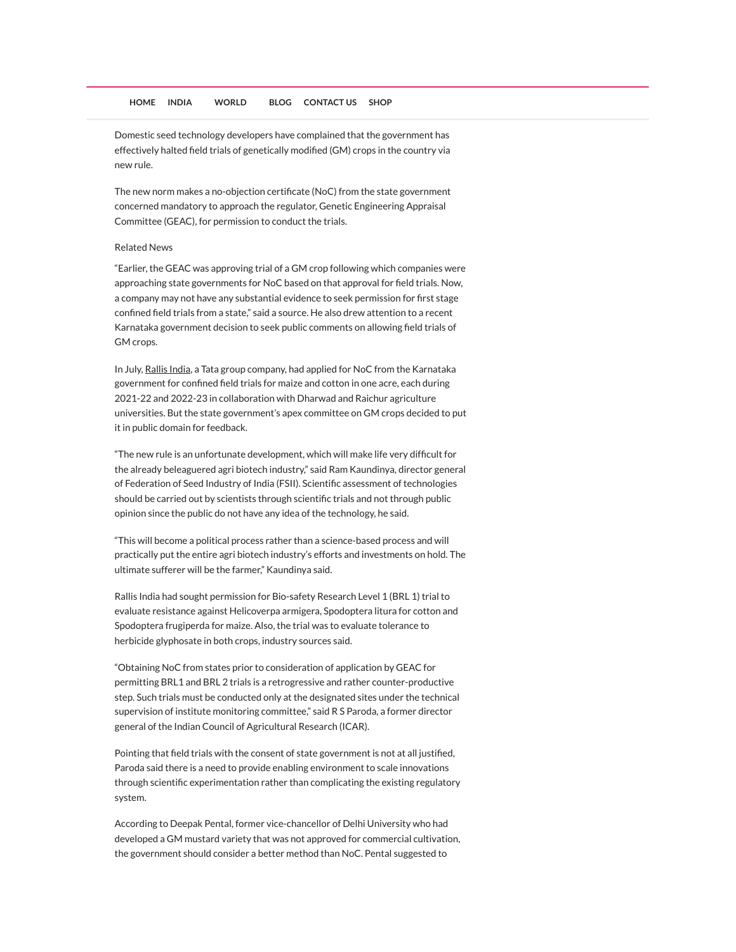Domestic seed technology developers have complained that the government has effectively halted field trials of genetically modified (GM) crops in the country via new rule.

The new norm makes a no-objection certificate (NoC) from the state government concerned mandatory to approach the regulator, Genetic Engineering Appraisal Committee (GEAC), for permission to conduct the trials.

## Related News

"Earlier, the GEAC was approving trial of a GM crop following which companies were approaching state governments for NoC based on that approval for field trials. Now, a company may not have any substantial evidence to seek permission for first stage confined field trials from a state," said a source. He also drew attention to a recent Karnataka government decision to seek public comments on allowing field trials of GM crops.

In July, [Rallis](https://www.financialexpress.com/market/stock-market/rallis-india-ltd-stock-price/) India, a Tata group company, had applied for NoC from the Karnataka government for confined field trials for maize and cotton in one acre, each during 2021-22 and 2022-23 in collaboration with Dharwad and Raichur agriculture universities. But the state government's apex committee on GM crops decided to put it in public domain for feedback.

"The new rule is an unfortunate development, which will make life very difficult for the already beleaguered agri biotech industry," said Ram Kaundinya, director general of Federation of Seed Industry of India (FSII). Scientific assessment of technologies should be carried out by scientists through scientific trials and not through public opinion since the public do not have any idea of the technology, he said.

"This will become a political process rather than a science-based process and will practically put the entire agri biotech industry's efforts and investments on hold. The ultimate sufferer will be the farmer," Kaundinya said.

Rallis India had sought permission for Bio-safety Research Level 1 (BRL 1) trial to evaluate resistance against Helicoverpa armigera, Spodoptera litura for cotton and Spodoptera frugiperda for maize. Also, the trial was to evaluate tolerance to herbicide glyphosate in both crops, industry sources said.

"Obtaining NoC from states prior to consideration of application by GEAC for permitting BRL1 and BRL 2 trials is a retrogressive and rather counter-productive step. Such trials must be conducted only at the designated sites under the technical supervision of institute monitoring committee," said R S Paroda, a former director general of the Indian Council of Agricultural Research (ICAR).

Pointing that field trials with the consent of state government is not at all justified, Paroda said there is a need to provide enabling environment to scale innovations through scientific experimentation rather than complicating the existing regulatory system.

According to Deepak Pental, former vice-chancellor of Delhi University who had developed a GM mustard variety that was not approved for commercial cultivation, the government should consider a better method than NoC. Pental suggested to